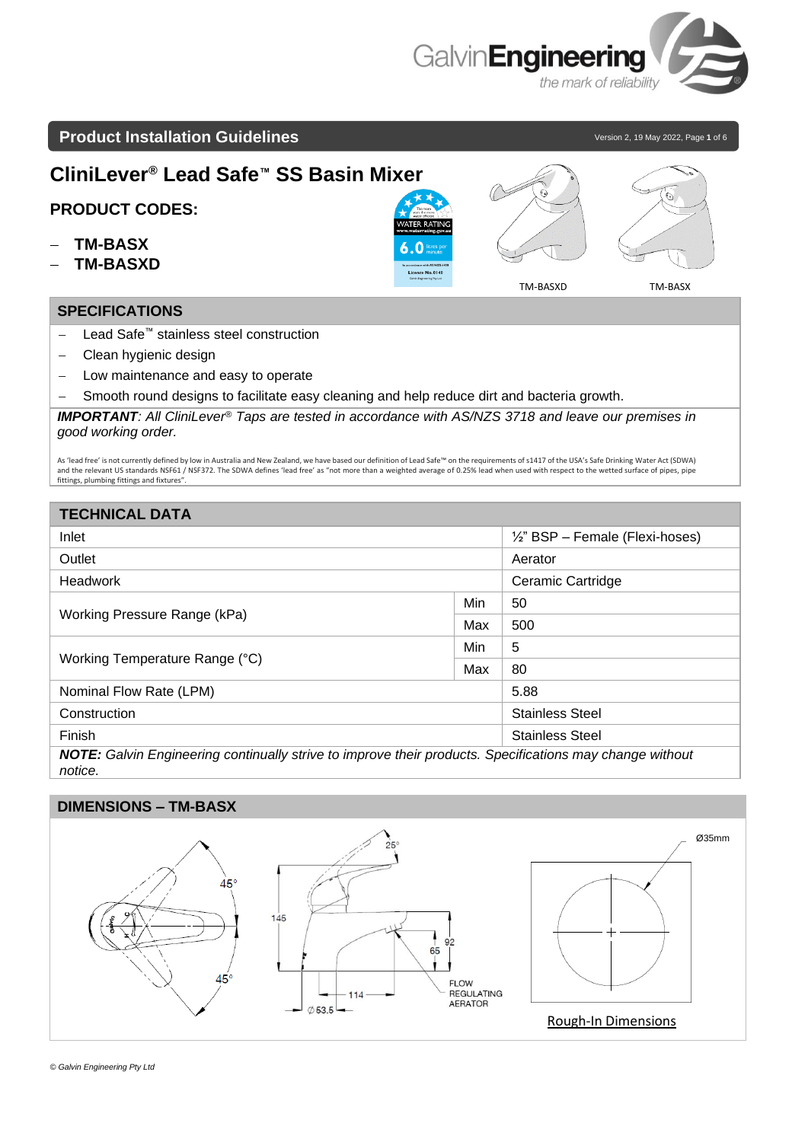

# **Product Installation Guidelines Version 2, 19 May 2022, Page 1** of 6

 $\widehat{\epsilon}$ 

**CliniLever® Lead Safe™ SS Basin Mixer**

# **PRODUCT CODES:**

- − **TM-BASX**
- − **TM-BASXD**

### **SPECIFICATIONS**

- − Lead Safe™ stainless steel construction
- − Clean hygienic design
- − Low maintenance and easy to operate
- − Smooth round designs to facilitate easy cleaning and help reduce dirt and bacteria growth.

*IMPORTANT: All CliniLever® Taps are tested in accordance with AS/NZS 3718 and leave our premises in good working order.*

As 'lead free' is not currently defined by low in Australia and New Zealand, we have based our definition of Lead Safe™ on the requirements of s1417 of the USA's Safe Drinking Water Act (SDWA) and the relevant US standards NSF61 / NSF372. The SDWA defines 'lead free' as "not more than a weighted average of 0.25% lead when used with respect to the wetted surface of pipes, pipe fittings, plumbing fittings and fixtures".

| <b>TECHNICAL DATA</b>                                                                                    |     |                                            |  |  |
|----------------------------------------------------------------------------------------------------------|-----|--------------------------------------------|--|--|
| Inlet                                                                                                    |     | $\frac{1}{2}$ " BSP – Female (Flexi-hoses) |  |  |
| Outlet                                                                                                   |     | Aerator                                    |  |  |
| <b>Headwork</b>                                                                                          |     | Ceramic Cartridge                          |  |  |
|                                                                                                          | Min | 50                                         |  |  |
| Working Pressure Range (kPa)                                                                             | Max | 500                                        |  |  |
|                                                                                                          | Min | 5                                          |  |  |
| Working Temperature Range (°C)                                                                           | Max | 80                                         |  |  |
| Nominal Flow Rate (LPM)                                                                                  |     | 5.88                                       |  |  |
| Construction                                                                                             |     | <b>Stainless Steel</b>                     |  |  |
| Finish                                                                                                   |     | <b>Stainless Steel</b>                     |  |  |
| NOTE: Galvin Engineering continually strive to improve their products. Specifications may change without |     |                                            |  |  |

*notice.* 

## **DIMENSIONS – TM-BASX**



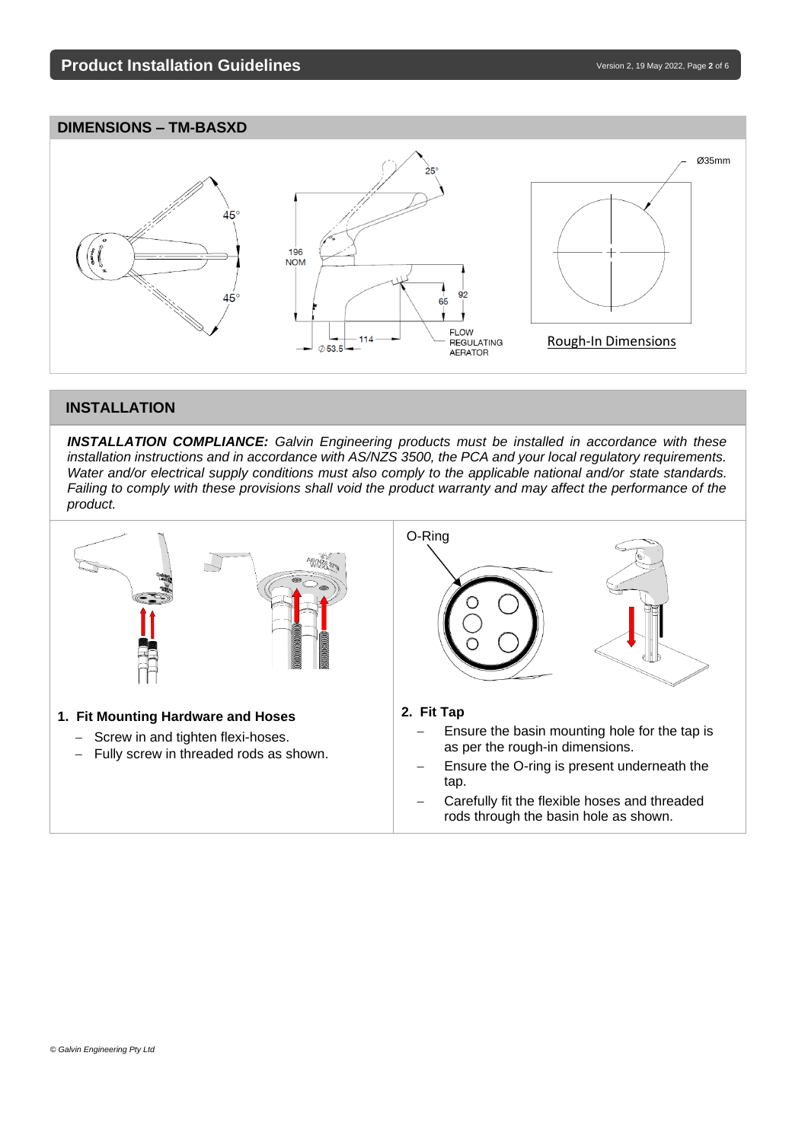## **DIMENSIONS – TM-BASXD**



## **INSTALLATION**

*INSTALLATION COMPLIANCE: Galvin Engineering products must be installed in accordance with these installation instructions and in accordance with AS/NZS 3500, the PCA and your local regulatory requirements. Water and/or electrical supply conditions must also comply to the applicable national and/or state standards. Failing to comply with these provisions shall void the product warranty and may affect the performance of the product.*

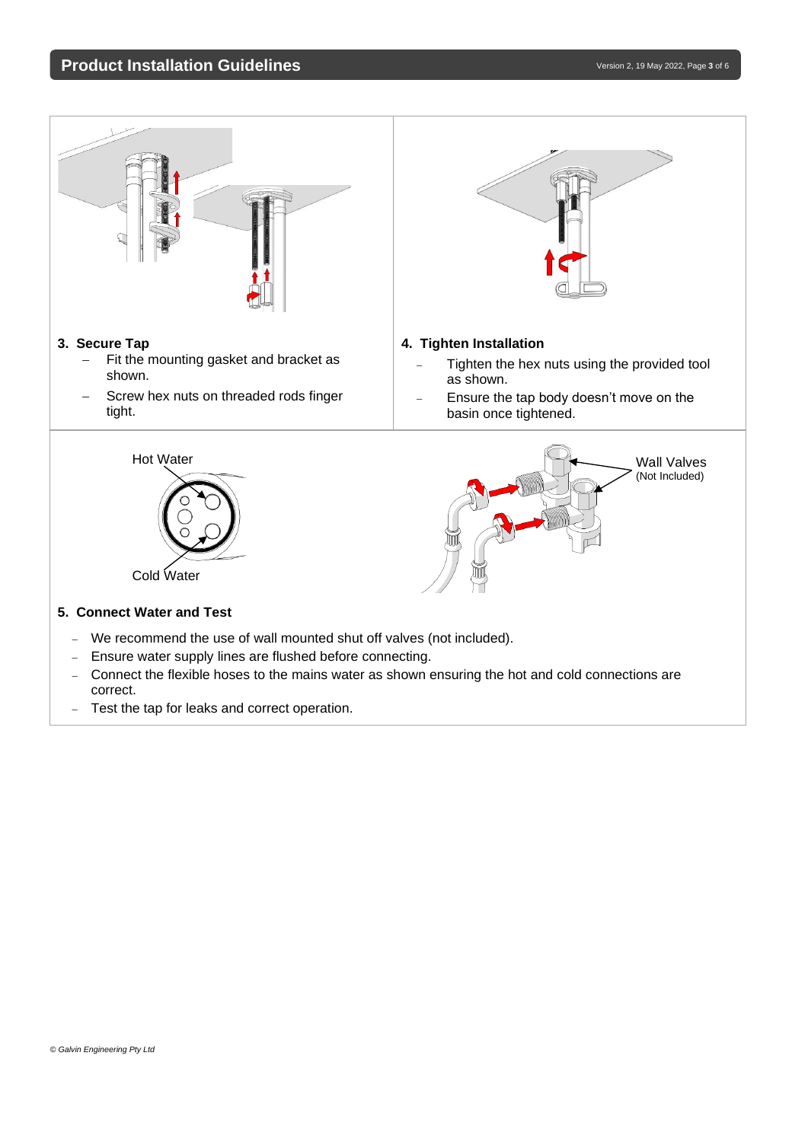## **Product Installation Guidelines** and the state of the state of the version 2, 19 May 2022, Page 3 of 6



- − Connect the flexible hoses to the mains water as shown ensuring the hot and cold connections are correct.
- − Test the tap for leaks and correct operation.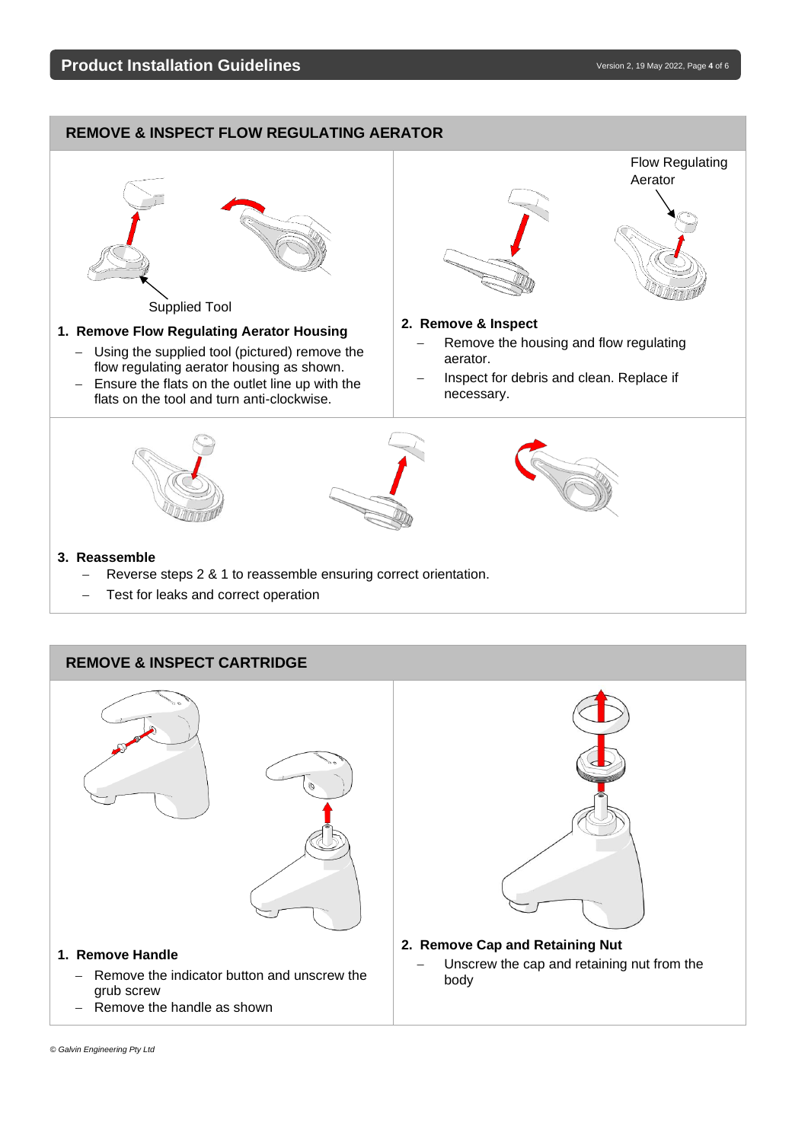## **Product Installation Guidelines** and the state of the state of the version 2, 19 May 2022, Page 4 of 6

# **REMOVE & INSPECT FLOW REGULATING AERATOR**



#### **REMOVE & INSPECT CARTRIDGE**



− Remove the handle as shown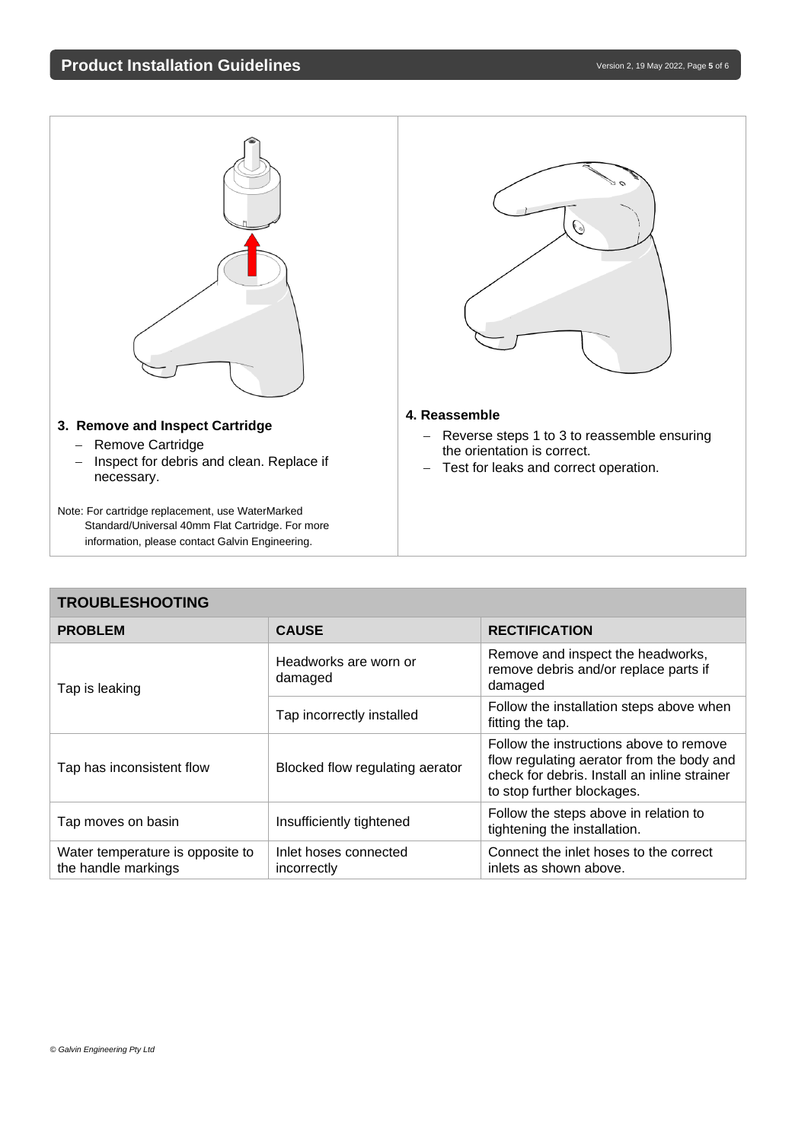

#### **3. Remove and Inspect Cartridge**

- − Remove Cartridge
- − Inspect for debris and clean. Replace if necessary.

Note: For cartridge replacement, use WaterMarked Standard/Universal 40mm Flat Cartridge. For more information, please contact Galvin Engineering.

#### **4. Reassemble**

- − Reverse steps 1 to 3 to reassemble ensuring the orientation is correct.
- − Test for leaks and correct operation.

| <b>TROUBLESHOOTING</b>                                  |                                      |                                                                                                                                                                    |  |
|---------------------------------------------------------|--------------------------------------|--------------------------------------------------------------------------------------------------------------------------------------------------------------------|--|
| <b>PROBLEM</b>                                          | <b>CAUSE</b>                         | <b>RECTIFICATION</b>                                                                                                                                               |  |
| Tap is leaking                                          | Headworks are worn or<br>damaged     | Remove and inspect the headworks,<br>remove debris and/or replace parts if<br>damaged                                                                              |  |
|                                                         | Tap incorrectly installed            | Follow the installation steps above when<br>fitting the tap.                                                                                                       |  |
| Tap has inconsistent flow                               | Blocked flow regulating aerator      | Follow the instructions above to remove<br>flow regulating aerator from the body and<br>check for debris. Install an inline strainer<br>to stop further blockages. |  |
| Tap moves on basin                                      | Insufficiently tightened             | Follow the steps above in relation to<br>tightening the installation.                                                                                              |  |
| Water temperature is opposite to<br>the handle markings | Inlet hoses connected<br>incorrectly | Connect the inlet hoses to the correct<br>inlets as shown above.                                                                                                   |  |